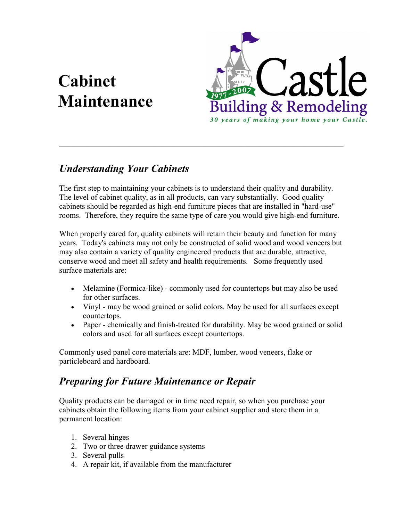# Cabinet Maintenance



### Understanding Your Cabinets

The first step to maintaining your cabinets is to understand their quality and durability. The level of cabinet quality, as in all products, can vary substantially. Good quality cabinets should be regarded as high-end furniture pieces that are installed in "hard-use" rooms. Therefore, they require the same type of care you would give high-end furniture.

 $\_$  , and the contribution of the contribution of  $\mathcal{L}_\mathcal{A}$  , and the contribution of  $\mathcal{L}_\mathcal{A}$ 

When properly cared for, quality cabinets will retain their beauty and function for many years. Today's cabinets may not only be constructed of solid wood and wood veneers but may also contain a variety of quality engineered products that are durable, attractive, conserve wood and meet all safety and health requirements. Some frequently used surface materials are:

- Melamine (Formica-like) commonly used for countertops but may also be used for other surfaces.
- Vinyl may be wood grained or solid colors. May be used for all surfaces except countertops.
- Paper chemically and finish-treated for durability. May be wood grained or solid colors and used for all surfaces except countertops.

Commonly used panel core materials are: MDF, lumber, wood veneers, flake or particleboard and hardboard.

## Preparing for Future Maintenance or Repair

Quality products can be damaged or in time need repair, so when you purchase your cabinets obtain the following items from your cabinet supplier and store them in a permanent location:

- 1. Several hinges
- 2. Two or three drawer guidance systems
- 3. Several pulls
- 4. A repair kit, if available from the manufacturer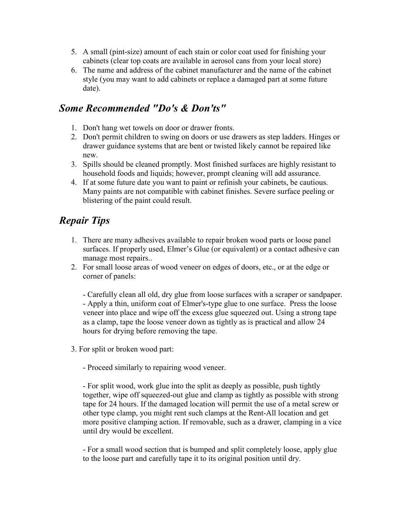- 5. A small (pint-size) amount of each stain or color coat used for finishing your cabinets (clear top coats are available in aerosol cans from your local store)
- 6. The name and address of the cabinet manufacturer and the name of the cabinet style (you may want to add cabinets or replace a damaged part at some future date).

#### Some Recommended "Do's & Don'ts"

- 1. Don't hang wet towels on door or drawer fronts.
- 2. Don't permit children to swing on doors or use drawers as step ladders. Hinges or drawer guidance systems that are bent or twisted likely cannot be repaired like new.
- 3. Spills should be cleaned promptly. Most finished surfaces are highly resistant to household foods and liquids; however, prompt cleaning will add assurance.
- 4. If at some future date you want to paint or refinish your cabinets, be cautious. Many paints are not compatible with cabinet finishes. Severe surface peeling or blistering of the paint could result.

## Repair Tips

- 1. There are many adhesives available to repair broken wood parts or loose panel surfaces. If properly used, Elmer's Glue (or equivalent) or a contact adhesive can manage most repairs..
- 2. For small loose areas of wood veneer on edges of doors, etc., or at the edge or corner of panels:

- Carefully clean all old, dry glue from loose surfaces with a scraper or sandpaper. - Apply a thin, uniform coat of Elmer's-type glue to one surface. Press the loose veneer into place and wipe off the excess glue squeezed out. Using a strong tape as a clamp, tape the loose veneer down as tightly as is practical and allow 24 hours for drying before removing the tape.

3. For split or broken wood part:

- Proceed similarly to repairing wood veneer.

- For split wood, work glue into the split as deeply as possible, push tightly together, wipe off squeezed-out glue and clamp as tightly as possible with strong tape for 24 hours. If the damaged location will permit the use of a metal screw or other type clamp, you might rent such clamps at the Rent-All location and get more positive clamping action. If removable, such as a drawer, clamping in a vice until dry would be excellent.

- For a small wood section that is bumped and split completely loose, apply glue to the loose part and carefully tape it to its original position until dry.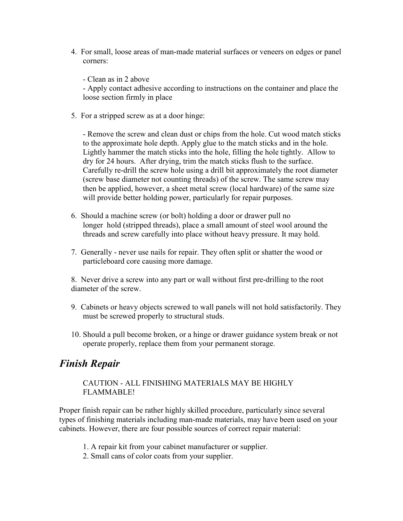- 4. For small, loose areas of man-made material surfaces or veneers on edges or panel corners:
	- Clean as in 2 above

- Apply contact adhesive according to instructions on the container and place the loose section firmly in place

5. For a stripped screw as at a door hinge:

- Remove the screw and clean dust or chips from the hole. Cut wood match sticks to the approximate hole depth. Apply glue to the match sticks and in the hole. Lightly hammer the match sticks into the hole, filling the hole tightly. Allow to dry for 24 hours. After drying, trim the match sticks flush to the surface. Carefully re-drill the screw hole using a drill bit approximately the root diameter (screw base diameter not counting threads) of the screw. The same screw may then be applied, however, a sheet metal screw (local hardware) of the same size will provide better holding power, particularly for repair purposes.

- 6. Should a machine screw (or bolt) holding a door or drawer pull no longer hold (stripped threads), place a small amount of steel wool around the threads and screw carefully into place without heavy pressure. It may hold.
- 7. Generally never use nails for repair. They often split or shatter the wood or particleboard core causing more damage.

8. Never drive a screw into any part or wall without first pre-drilling to the root diameter of the screw.

- 9. Cabinets or heavy objects screwed to wall panels will not hold satisfactorily. They must be screwed properly to structural studs.
- 10. Should a pull become broken, or a hinge or drawer guidance system break or not operate properly, replace them from your permanent storage.

#### Finish Repair

CAUTION - ALL FINISHING MATERIALS MAY BE HIGHLY FLAMMABLE!

Proper finish repair can be rather highly skilled procedure, particularly since several types of finishing materials including man-made materials, may have been used on your cabinets. However, there are four possible sources of correct repair material:

- 1. A repair kit from your cabinet manufacturer or supplier.
- 2. Small cans of color coats from your supplier.